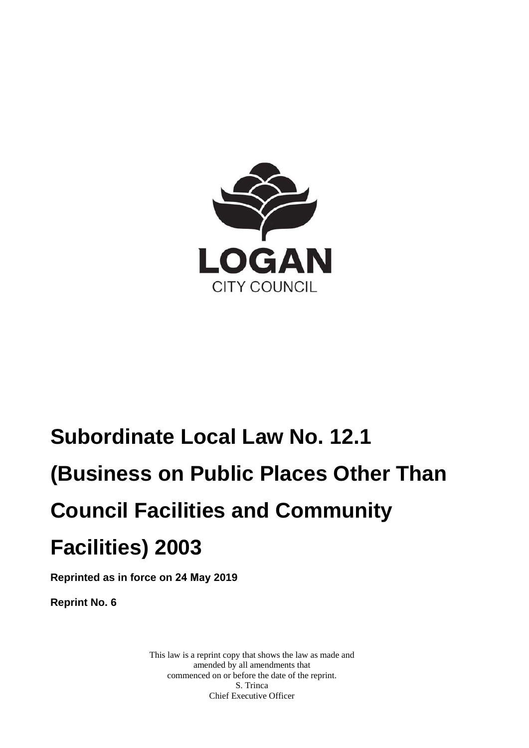

# **Subordinate Local Law No. 12.1 (Business on Public Places Other Than Council Facilities and Community Facilities) 2003**

**Reprinted as in force on 24 May 2019** 

**Reprint No. 6** 

This law is a reprint copy that shows the law as made and amended by all amendments that commenced on or before the date of the reprint. S. Trinca Chief Executive Officer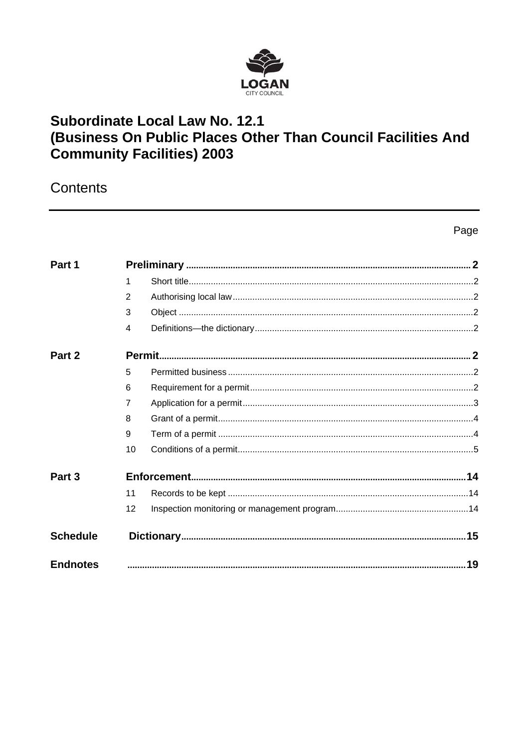

## Subordinate Local Law No. 12.1 (Business On Public Places Other Than Council Facilities And **Community Facilities) 2003**

Contents

Page

| Part 1          |    |  |  |
|-----------------|----|--|--|
|                 | 1  |  |  |
|                 | 2  |  |  |
|                 | 3  |  |  |
|                 | 4  |  |  |
| Part 2          |    |  |  |
|                 | 5  |  |  |
|                 | 6  |  |  |
|                 | 7  |  |  |
|                 | 8  |  |  |
|                 | 9  |  |  |
|                 | 10 |  |  |
| Part 3          |    |  |  |
|                 | 11 |  |  |
|                 | 12 |  |  |
| <b>Schedule</b> |    |  |  |
| <b>Endnotes</b> |    |  |  |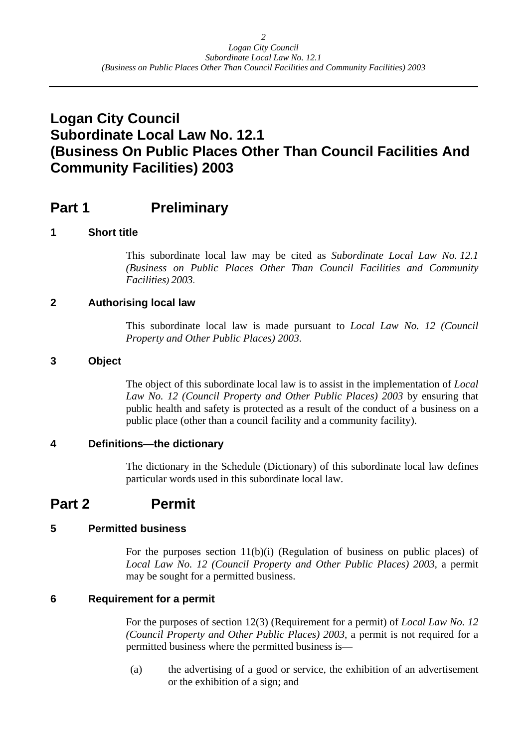## <span id="page-2-0"></span>**Logan City Council Subordinate Local Law No. 12.1 (Business On Public Places Other Than Council Facilities And Community Facilities) 2003**

## **Part 1** Preliminary

#### **1 Short title**

This subordinate local law may be cited as *Subordinate Local Law No. 12.1 (Business on Public Places Other Than Council Facilities and Community Facilities) 2003*.

#### **2 Authorising local law**

This subordinate local law is made pursuant to *Local Law No. 12 (Council Property and Other Public Places) 2003*.

#### **3 Object**

The object of this subordinate local law is to assist in the implementation of *Local Law No. 12 (Council Property and Other Public Places) 2003* by ensuring that public health and safety is protected as a result of the conduct of a business on a public place (other than a council facility and a community facility).

#### **4 Definitions—the dictionary**

The dictionary in the Schedule (Dictionary) of this subordinate local law defines particular words used in this subordinate local law.

## **Part 2 Permit**

#### **5 Permitted business**

For the purposes section 11(b)(i) (Regulation of business on public places) of *Local Law No. 12 (Council Property and Other Public Places) 2003,* a permit may be sought for a permitted business.

#### **6 Requirement for a permit**

For the purposes of section 12(3) (Requirement for a permit) of *Local Law No. 12 (Council Property and Other Public Places) 2003*, a permit is not required for a permitted business where the permitted business is—

(a) the advertising of a good or service, the exhibition of an advertisement or the exhibition of a sign; and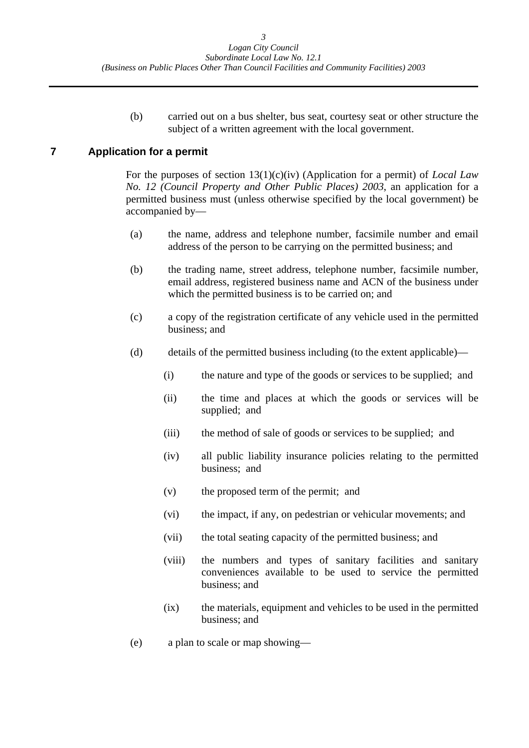(b) carried out on a bus shelter, bus seat, courtesy seat or other structure the subject of a written agreement with the local government.

#### <span id="page-3-0"></span>**7 Application for a permit**

For the purposes of section 13(1)(c)(iv) (Application for a permit) of *Local Law No. 12 (Council Property and Other Public Places) 2003*, an application for a permitted business must (unless otherwise specified by the local government) be accompanied by—

- (a) the name, address and telephone number, facsimile number and email address of the person to be carrying on the permitted business; and
- (b) the trading name, street address, telephone number, facsimile number, email address, registered business name and ACN of the business under which the permitted business is to be carried on; and
- (c) a copy of the registration certificate of any vehicle used in the permitted business; and
- (d) details of the permitted business including (to the extent applicable)—
	- (i) the nature and type of the goods or services to be supplied; and
	- (ii) the time and places at which the goods or services will be supplied; and
	- (iii) the method of sale of goods or services to be supplied; and
	- (iv) all public liability insurance policies relating to the permitted business; and
	- (v) the proposed term of the permit; and
	- (vi) the impact, if any, on pedestrian or vehicular movements; and
	- (vii) the total seating capacity of the permitted business; and
	- (viii) the numbers and types of sanitary facilities and sanitary conveniences available to be used to service the permitted business; and
	- (ix) the materials, equipment and vehicles to be used in the permitted business; and
- (e) a plan to scale or map showing—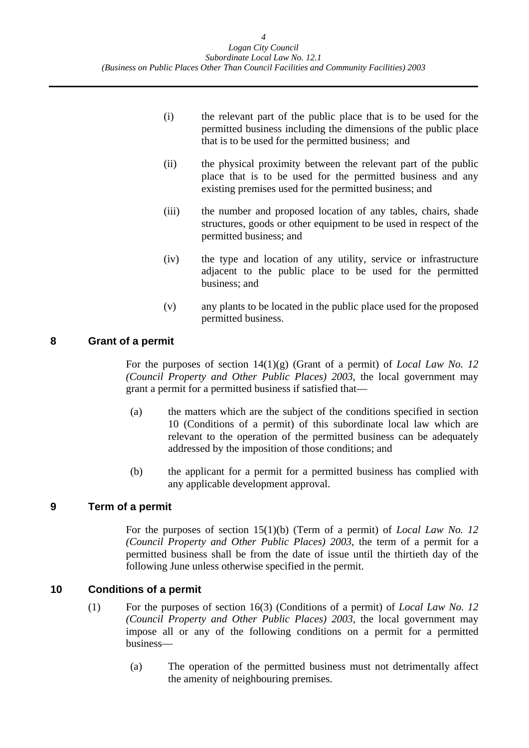<span id="page-4-0"></span>

| (i)   | the relevant part of the public place that is to be used for the<br>permitted business including the dimensions of the public place<br>that is to be used for the permitted business; and |
|-------|-------------------------------------------------------------------------------------------------------------------------------------------------------------------------------------------|
| (ii)  | the physical proximity between the relevant part of the public<br>place that is to be used for the permitted business and any<br>existing premises used for the permitted business; and   |
| (iii) | the number and proposed location of any tables, chairs, shade<br>structures, goods or other equipment to be used in respect of the<br>permitted business; and                             |
| (iv)  | the type and location of any utility, service or infrastructure<br>adjacent to the public place to be used for the permitted<br>business; and                                             |

(v) any plants to be located in the public place used for the proposed permitted business.

#### **8 Grant of a permit**

For the purposes of section 14(1)(g) (Grant of a permit) of *Local Law No. 12 (Council Property and Other Public Places) 2003*, the local government may grant a permit for a permitted business if satisfied that—

- (a) the matters which are the subject of the conditions specified in section 10 (Conditions of a permit) of this subordinate local law which are relevant to the operation of the permitted business can be adequately addressed by the imposition of those conditions; and
- (b) the applicant for a permit for a permitted business has complied with any applicable development approval.

#### **9 Term of a permit**

For the purposes of section 15(1)(b) (Term of a permit) of *Local Law No. 12 (Council Property and Other Public Places) 2003,* the term of a permit for a permitted business shall be from the date of issue until the thirtieth day of the following June unless otherwise specified in the permit.

#### **10 Conditions of a permit**

- (1) For the purposes of section 16(3) (Conditions of a permit) of *Local Law No. 12 (Council Property and Other Public Places) 2003,* the local government may impose all or any of the following conditions on a permit for a permitted business—
	- (a) The operation of the permitted business must not detrimentally affect the amenity of neighbouring premises.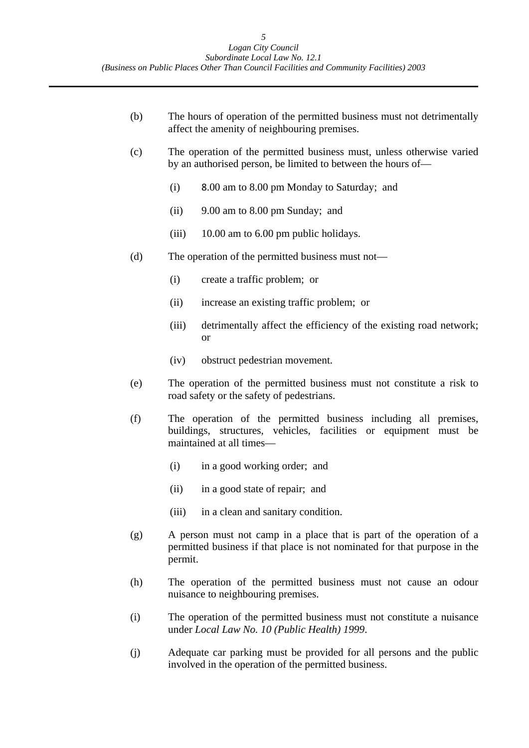- <span id="page-5-0"></span>(b) The hours of operation of the permitted business must not detrimentally affect the amenity of neighbouring premises.
- (c) The operation of the permitted business must, unless otherwise varied by an authorised person, be limited to between the hours of—
	- (i) 8.00 am to 8.00 pm Monday to Saturday; and
	- (ii) 9.00 am to 8.00 pm Sunday; and
	- (iii) 10.00 am to 6.00 pm public holidays.
- (d) The operation of the permitted business must not—
	- (i) create a traffic problem; or
	- (ii) increase an existing traffic problem; or
	- (iii) detrimentally affect the efficiency of the existing road network; or
	- (iv) obstruct pedestrian movement.
- (e) The operation of the permitted business must not constitute a risk to road safety or the safety of pedestrians.
- (f) The operation of the permitted business including all premises, buildings, structures, vehicles, facilities or equipment must be maintained at all times—
	- (i) in a good working order; and
	- (ii) in a good state of repair; and
	- (iii) in a clean and sanitary condition.
- (g) A person must not camp in a place that is part of the operation of a permitted business if that place is not nominated for that purpose in the permit.
- (h) The operation of the permitted business must not cause an odour nuisance to neighbouring premises.
- (i) The operation of the permitted business must not constitute a nuisance under *Local Law No. 10 (Public Health) 1999*.
- (j) Adequate car parking must be provided for all persons and the public involved in the operation of the permitted business.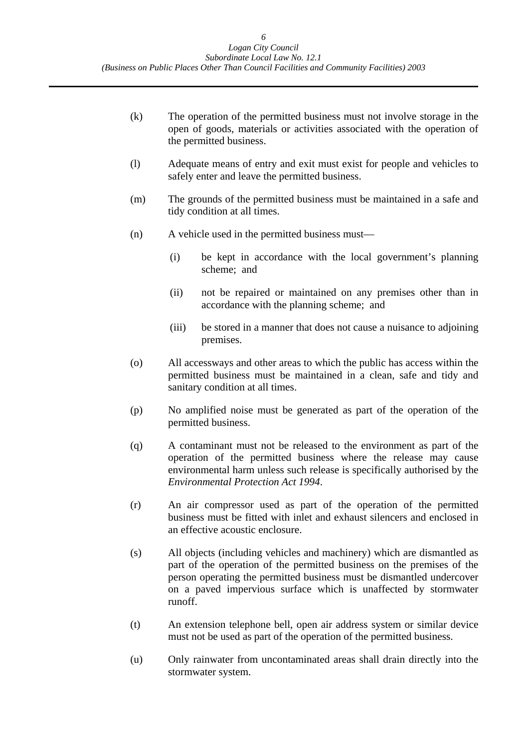- (k) The operation of the permitted business must not involve storage in the open of goods, materials or activities associated with the operation of the permitted business.
- (l) Adequate means of entry and exit must exist for people and vehicles to safely enter and leave the permitted business.
- (m) The grounds of the permitted business must be maintained in a safe and tidy condition at all times.
- (n) A vehicle used in the permitted business must—
	- (i) be kept in accordance with the local government's planning scheme; and
	- (ii) not be repaired or maintained on any premises other than in accordance with the planning scheme; and
	- (iii) be stored in a manner that does not cause a nuisance to adjoining premises.
- (o) All accessways and other areas to which the public has access within the permitted business must be maintained in a clean, safe and tidy and sanitary condition at all times.
- (p) No amplified noise must be generated as part of the operation of the permitted business.
- (q) A contaminant must not be released to the environment as part of the operation of the permitted business where the release may cause environmental harm unless such release is specifically authorised by the *Environmental Protection Act 1994*.
- (r) An air compressor used as part of the operation of the permitted business must be fitted with inlet and exhaust silencers and enclosed in an effective acoustic enclosure.
- (s) All objects (including vehicles and machinery) which are dismantled as part of the operation of the permitted business on the premises of the person operating the permitted business must be dismantled undercover on a paved impervious surface which is unaffected by stormwater runoff.
- (t) An extension telephone bell, open air address system or similar device must not be used as part of the operation of the permitted business.
- (u) Only rainwater from uncontaminated areas shall drain directly into the stormwater system.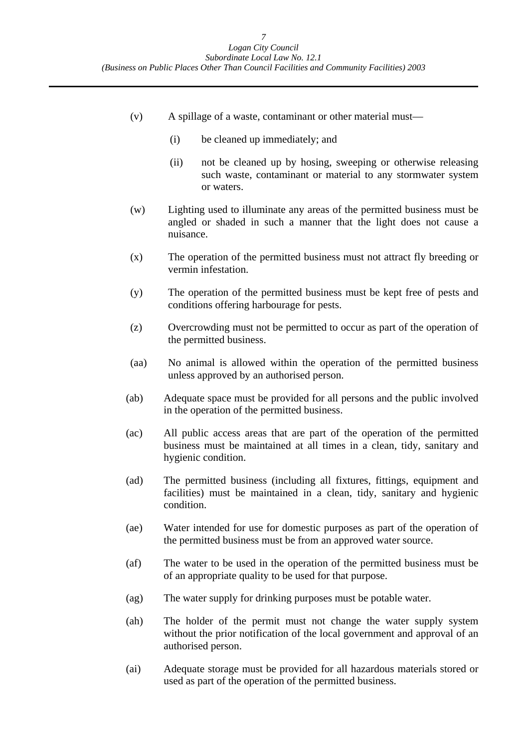- (v) A spillage of a waste, contaminant or other material must—
	- (i) be cleaned up immediately; and
	- (ii) not be cleaned up by hosing, sweeping or otherwise releasing such waste, contaminant or material to any stormwater system or waters.
- (w) Lighting used to illuminate any areas of the permitted business must be angled or shaded in such a manner that the light does not cause a nuisance.
- (x) The operation of the permitted business must not attract fly breeding or vermin infestation.
- (y) The operation of the permitted business must be kept free of pests and conditions offering harbourage for pests.
- (z) Overcrowding must not be permitted to occur as part of the operation of the permitted business.
- (aa) No animal is allowed within the operation of the permitted business unless approved by an authorised person.
- (ab) Adequate space must be provided for all persons and the public involved in the operation of the permitted business.
- (ac) All public access areas that are part of the operation of the permitted business must be maintained at all times in a clean, tidy, sanitary and hygienic condition.
- (ad) The permitted business (including all fixtures, fittings, equipment and facilities) must be maintained in a clean, tidy, sanitary and hygienic condition.
- (ae) Water intended for use for domestic purposes as part of the operation of the permitted business must be from an approved water source.
- (af) The water to be used in the operation of the permitted business must be of an appropriate quality to be used for that purpose.
- (ag) The water supply for drinking purposes must be potable water.
- (ah) The holder of the permit must not change the water supply system without the prior notification of the local government and approval of an authorised person.
- (ai) Adequate storage must be provided for all hazardous materials stored or used as part of the operation of the permitted business.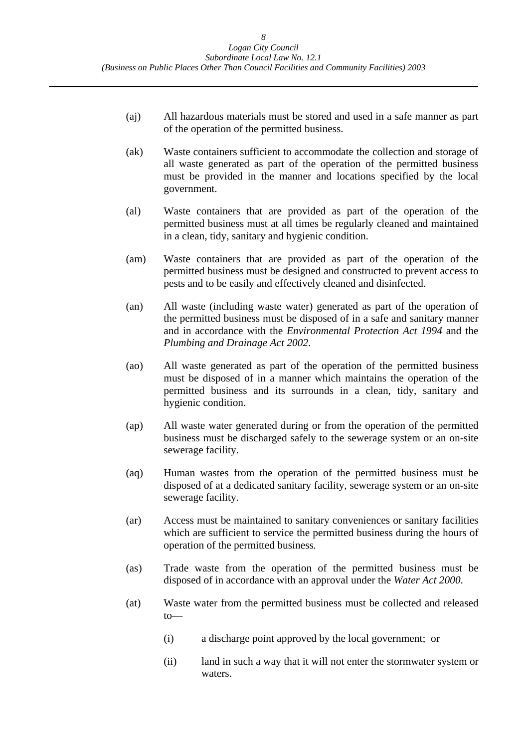- (aj) All hazardous materials must be stored and used in a safe manner as part of the operation of the permitted business.
- (ak) Waste containers sufficient to accommodate the collection and storage of all waste generated as part of the operation of the permitted business must be provided in the manner and locations specified by the local government.
- (al) Waste containers that are provided as part of the operation of the permitted business must at all times be regularly cleaned and maintained in a clean, tidy, sanitary and hygienic condition.
- (am) Waste containers that are provided as part of the operation of the permitted business must be designed and constructed to prevent access to pests and to be easily and effectively cleaned and disinfected.
- (an) All waste (including waste water) generated as part of the operation of the permitted business must be disposed of in a safe and sanitary manner and in accordance with the *Environmental Protection Act 1994* and the *Plumbing and Drainage Act 2002*.
- (ao) All waste generated as part of the operation of the permitted business must be disposed of in a manner which maintains the operation of the permitted business and its surrounds in a clean, tidy, sanitary and hygienic condition.
- (ap) All waste water generated during or from the operation of the permitted business must be discharged safely to the sewerage system or an on-site sewerage facility.
- (aq) Human wastes from the operation of the permitted business must be disposed of at a dedicated sanitary facility, sewerage system or an on-site sewerage facility.
- (ar) Access must be maintained to sanitary conveniences or sanitary facilities which are sufficient to service the permitted business during the hours of operation of the permitted business*.*
- (as) Trade waste from the operation of the permitted business must be disposed of in accordance with an approval under the *Water Act 2000*.
- (at) Waste water from the permitted business must be collected and released to—
	- (i) a discharge point approved by the local government; or
	- (ii) land in such a way that it will not enter the stormwater system or waters.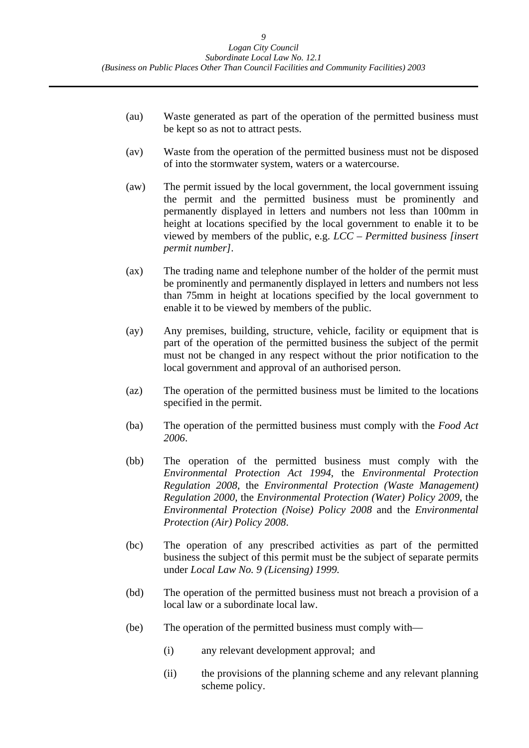- (au) Waste generated as part of the operation of the permitted business must be kept so as not to attract pests.
- (av) Waste from the operation of the permitted business must not be disposed of into the stormwater system, waters or a watercourse.
- (aw) The permit issued by the local government, the local government issuing the permit and the permitted business must be prominently and permanently displayed in letters and numbers not less than 100mm in height at locations specified by the local government to enable it to be viewed by members of the public, e.g. *LCC – Permitted business [insert permit number]*.
- (ax) The trading name and telephone number of the holder of the permit must be prominently and permanently displayed in letters and numbers not less than 75mm in height at locations specified by the local government to enable it to be viewed by members of the public.
- (ay) Any premises, building, structure, vehicle, facility or equipment that is part of the operation of the permitted business the subject of the permit must not be changed in any respect without the prior notification to the local government and approval of an authorised person.
- (az) The operation of the permitted business must be limited to the locations specified in the permit.
- (ba) The operation of the permitted business must comply with the *Food Act 2006*.
- (bb) The operation of the permitted business must comply with the *Environmental Protection Act 1994*, the *Environmental Protection Regulation 2008*, the *Environmental Protection (Waste Management) Regulation 2000*, the *Environmental Protection (Water) Policy 2009*, the *Environmental Protection (Noise) Policy 2008* and the *Environmental Protection (Air) Policy 2008*.
- (bc) The operation of any prescribed activities as part of the permitted business the subject of this permit must be the subject of separate permits under *Local Law No. 9 (Licensing) 1999.*
- (bd) The operation of the permitted business must not breach a provision of a local law or a subordinate local law.
- (be) The operation of the permitted business must comply with—
	- (i) any relevant development approval; and
	- (ii) the provisions of the planning scheme and any relevant planning scheme policy.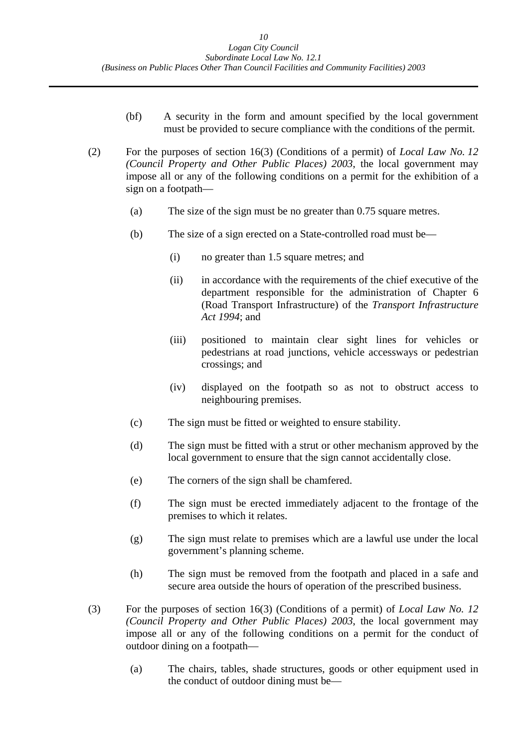- (bf) A security in the form and amount specified by the local government must be provided to secure compliance with the conditions of the permit.
- (2) For the purposes of section 16(3) (Conditions of a permit) of *Local Law No. 12 (Council Property and Other Public Places) 2003*, the local government may impose all or any of the following conditions on a permit for the exhibition of a sign on a footpath—
	- (a) The size of the sign must be no greater than 0.75 square metres.
	- (b) The size of a sign erected on a State-controlled road must be—
		- (i) no greater than 1.5 square metres; and
		- (ii) in accordance with the requirements of the chief executive of the department responsible for the administration of Chapter 6 (Road Transport Infrastructure) of the *Transport Infrastructure Act 1994*; and
		- (iii) positioned to maintain clear sight lines for vehicles or pedestrians at road junctions, vehicle accessways or pedestrian crossings; and
		- (iv) displayed on the footpath so as not to obstruct access to neighbouring premises.
	- (c) The sign must be fitted or weighted to ensure stability.
	- (d) The sign must be fitted with a strut or other mechanism approved by the local government to ensure that the sign cannot accidentally close.
	- (e) The corners of the sign shall be chamfered.
	- (f) The sign must be erected immediately adjacent to the frontage of the premises to which it relates.
	- (g) The sign must relate to premises which are a lawful use under the local government's planning scheme.
	- (h) The sign must be removed from the footpath and placed in a safe and secure area outside the hours of operation of the prescribed business.
- (3) For the purposes of section 16(3) (Conditions of a permit) of *Local Law No. 12 (Council Property and Other Public Places) 2003*, the local government may impose all or any of the following conditions on a permit for the conduct of outdoor dining on a footpath—
	- (a) The chairs, tables, shade structures, goods or other equipment used in the conduct of outdoor dining must be—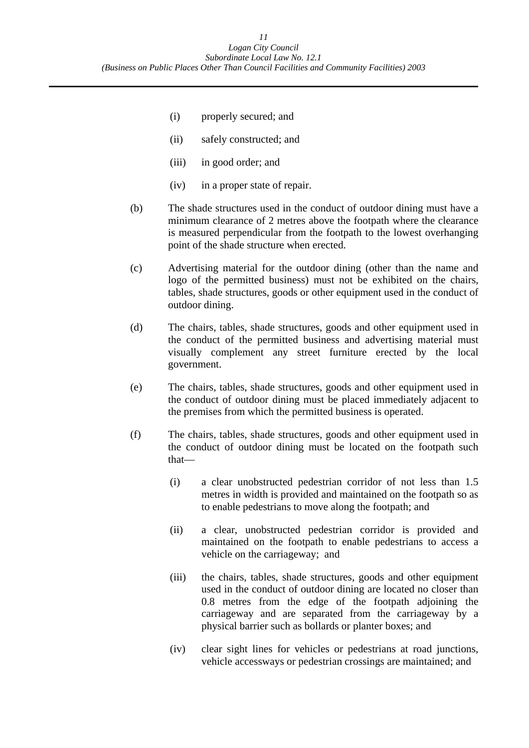- (i) properly secured; and
- (ii) safely constructed; and
- (iii) in good order; and
- (iv) in a proper state of repair.
- (b) The shade structures used in the conduct of outdoor dining must have a minimum clearance of 2 metres above the footpath where the clearance is measured perpendicular from the footpath to the lowest overhanging point of the shade structure when erected.
- (c) Advertising material for the outdoor dining (other than the name and logo of the permitted business) must not be exhibited on the chairs, tables, shade structures, goods or other equipment used in the conduct of outdoor dining.
- (d) The chairs, tables, shade structures, goods and other equipment used in the conduct of the permitted business and advertising material must visually complement any street furniture erected by the local government.
- (e) The chairs, tables, shade structures, goods and other equipment used in the conduct of outdoor dining must be placed immediately adjacent to the premises from which the permitted business is operated.
- (f) The chairs, tables, shade structures, goods and other equipment used in the conduct of outdoor dining must be located on the footpath such that—
	- (i) a clear unobstructed pedestrian corridor of not less than 1.5 metres in width is provided and maintained on the footpath so as to enable pedestrians to move along the footpath; and
	- (ii) a clear, unobstructed pedestrian corridor is provided and maintained on the footpath to enable pedestrians to access a vehicle on the carriageway; and
	- (iii) the chairs, tables, shade structures, goods and other equipment used in the conduct of outdoor dining are located no closer than 0.8 metres from the edge of the footpath adjoining the carriageway and are separated from the carriageway by a physical barrier such as bollards or planter boxes; and
	- (iv) clear sight lines for vehicles or pedestrians at road junctions, vehicle accessways or pedestrian crossings are maintained; and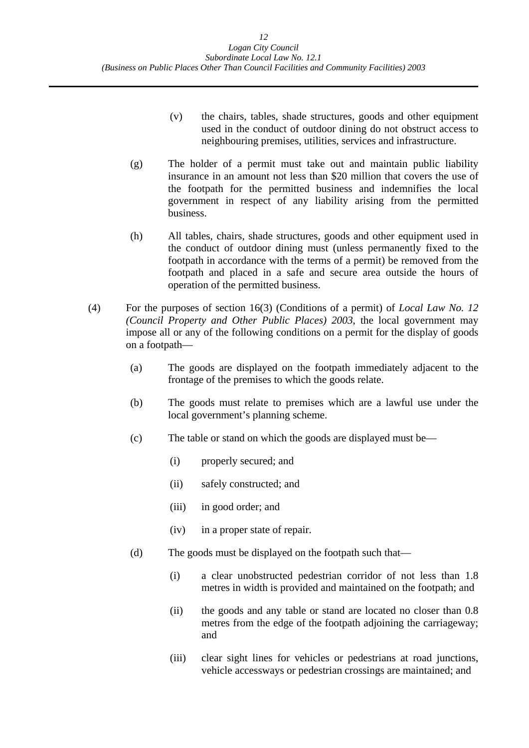- (v) the chairs, tables, shade structures, goods and other equipment used in the conduct of outdoor dining do not obstruct access to neighbouring premises, utilities, services and infrastructure.
- (g) The holder of a permit must take out and maintain public liability insurance in an amount not less than \$20 million that covers the use of the footpath for the permitted business and indemnifies the local government in respect of any liability arising from the permitted business.
- (h) All tables, chairs, shade structures, goods and other equipment used in the conduct of outdoor dining must (unless permanently fixed to the footpath in accordance with the terms of a permit) be removed from the footpath and placed in a safe and secure area outside the hours of operation of the permitted business.
- (4) For the purposes of section 16(3) (Conditions of a permit) of *Local Law No. 12 (Council Property and Other Public Places) 2003*, the local government may impose all or any of the following conditions on a permit for the display of goods on a footpath—
	- (a) The goods are displayed on the footpath immediately adjacent to the frontage of the premises to which the goods relate.
	- (b) The goods must relate to premises which are a lawful use under the local government's planning scheme.
	- (c) The table or stand on which the goods are displayed must be—
		- (i) properly secured; and
		- (ii) safely constructed; and
		- (iii) in good order; and
		- (iv) in a proper state of repair.
	- (d) The goods must be displayed on the footpath such that—
		- (i) a clear unobstructed pedestrian corridor of not less than 1.8 metres in width is provided and maintained on the footpath; and
		- (ii) the goods and any table or stand are located no closer than 0.8 metres from the edge of the footpath adjoining the carriageway; and
		- (iii) clear sight lines for vehicles or pedestrians at road junctions, vehicle accessways or pedestrian crossings are maintained; and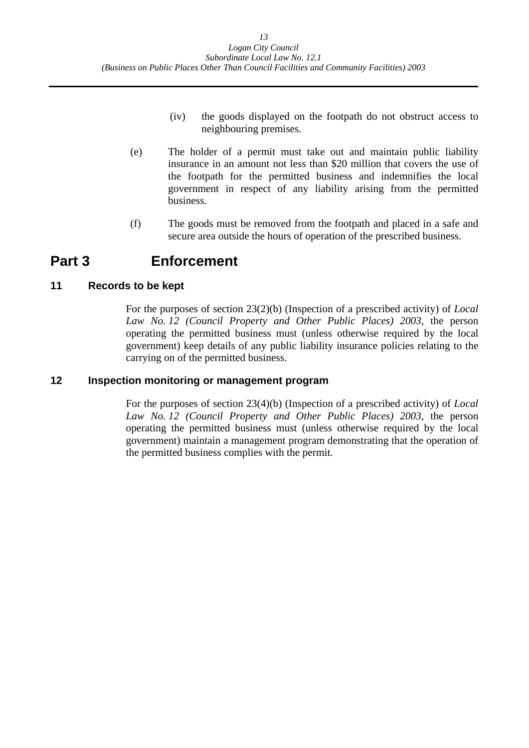- (iv) the goods displayed on the footpath do not obstruct access to neighbouring premises.
- (e) The holder of a permit must take out and maintain public liability insurance in an amount not less than \$20 million that covers the use of the footpath for the permitted business and indemnifies the local government in respect of any liability arising from the permitted business.
- (f) The goods must be removed from the footpath and placed in a safe and secure area outside the hours of operation of the prescribed business.

## **Part 3 Enforcement**

### **11 Records to be kept**

For the purposes of section 23(2)(b) (Inspection of a prescribed activity) of *Local Law No. 12 (Council Property and Other Public Places) 2003*, the person operating the permitted business must (unless otherwise required by the local government) keep details of any public liability insurance policies relating to the carrying on of the permitted business.

#### **12 Inspection monitoring or management program**

For the purposes of section 23(4)(b) (Inspection of a prescribed activity) of *Local Law No. 12 (Council Property and Other Public Places) 2003*, the person operating the permitted business must (unless otherwise required by the local government) maintain a management program demonstrating that the operation of the permitted business complies with the permit.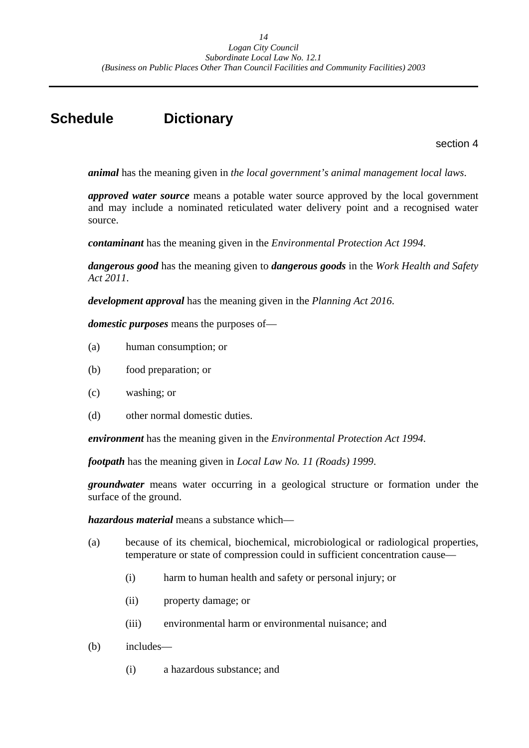# **Schedule Dictionary**

section 4

*animal* has the meaning given in *the local government's animal management local laws*.

*approved water source* means a potable water source approved by the local government and may include a nominated reticulated water delivery point and a recognised water source.

*contaminant* has the meaning given in the *Environmental Protection Act 1994*.

*dangerous good* has the meaning given to *dangerous goods* in the *Work Health and Safety Act 2011*.

*development approval* has the meaning given in the *Planning Act 2016*.

*domestic purposes* means the purposes of—

- (a) human consumption; or
- (b) food preparation; or
- (c) washing; or
- (d) other normal domestic duties.

*environment* has the meaning given in the *Environmental Protection Act 1994*.

*footpath* has the meaning given in *Local Law No. 11 (Roads) 1999*.

*groundwater* means water occurring in a geological structure or formation under the surface of the ground.

*hazardous material* means a substance which—

- (a) because of its chemical, biochemical, microbiological or radiological properties, temperature or state of compression could in sufficient concentration cause—
	- (i) harm to human health and safety or personal injury; or
	- (ii) property damage; or
	- (iii) environmental harm or environmental nuisance; and
- (b) includes—
	- (i) a hazardous substance; and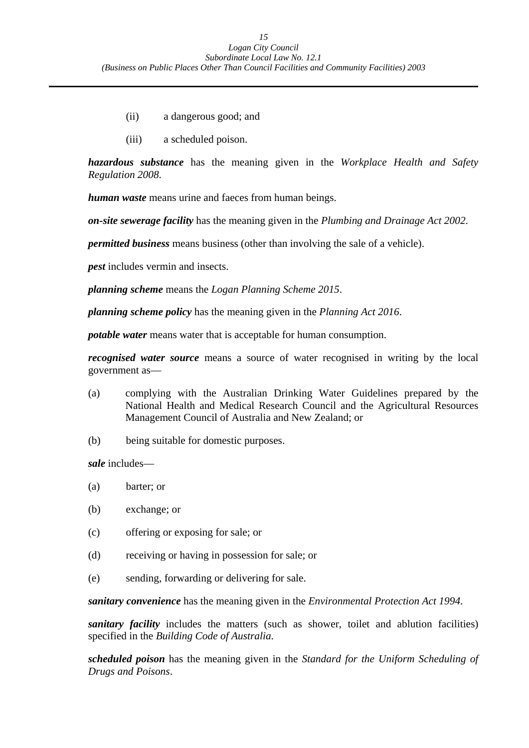- <span id="page-15-0"></span>(ii) a dangerous good; and
- (iii) a scheduled poison.

*hazardous substance* has the meaning given in the *Workplace Health and Safety Regulation 2008*.

*human waste* means urine and faeces from human beings.

*on-site sewerage facility* has the meaning given in the *Plumbing and Drainage Act 2002*.

*permitted business* means business (other than involving the sale of a vehicle).

*pest* includes vermin and insects.

*planning scheme* means the *Logan Planning Scheme 2015*.

*planning scheme policy* has the meaning given in the *Planning Act 2016*.

*potable water* means water that is acceptable for human consumption.

*recognised water source* means a source of water recognised in writing by the local government as—

- (a) complying with the Australian Drinking Water Guidelines prepared by the National Health and Medical Research Council and the Agricultural Resources Management Council of Australia and New Zealand; or
- (b) being suitable for domestic purposes.

*sale* includes—

- (a) barter; or
- (b) exchange; or
- (c) offering or exposing for sale; or
- (d) receiving or having in possession for sale; or
- (e) sending, forwarding or delivering for sale.

*sanitary convenience* has the meaning given in the *Environmental Protection Act 1994*.

*sanitary facility* includes the matters (such as shower, toilet and ablution facilities) specified in the *Building Code of Australia*.

*scheduled poison* has the meaning given in the *Standard for the Uniform Scheduling of Drugs and Poisons*.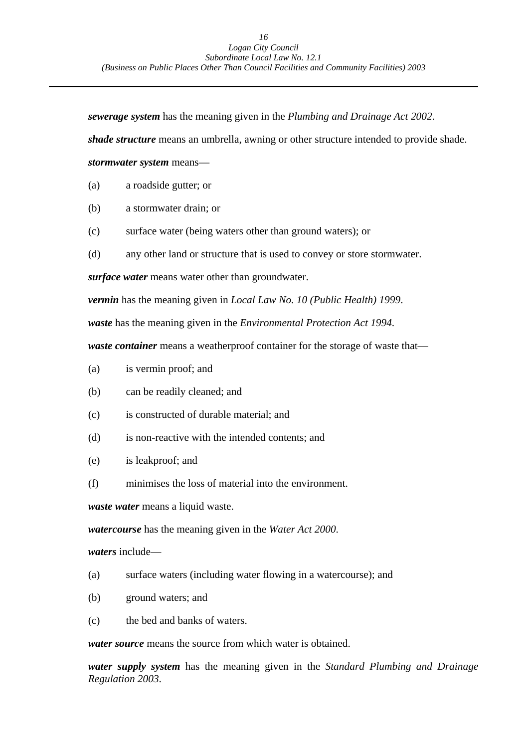*sewerage system* has the meaning given in the *Plumbing and Drainage Act 2002*.

*shade structure* means an umbrella, awning or other structure intended to provide shade.

*stormwater system* means—

- (a) a roadside gutter; or
- (b) a stormwater drain; or
- (c) surface water (being waters other than ground waters); or
- (d) any other land or structure that is used to convey or store stormwater.

*surface water* means water other than groundwater.

*vermin* has the meaning given in *Local Law No. 10 (Public Health) 1999*.

*waste* has the meaning given in the *Environmental Protection Act 1994*.

*waste container* means a weatherproof container for the storage of waste that—

- (a) is vermin proof; and
- (b) can be readily cleaned; and
- (c) is constructed of durable material; and
- (d) is non-reactive with the intended contents; and
- (e) is leakproof; and
- (f) minimises the loss of material into the environment.

*waste water* means a liquid waste.

*watercourse* has the meaning given in the *Water Act 2000*.

*waters* include—

- (a) surface waters (including water flowing in a watercourse); and
- (b) ground waters; and
- (c) the bed and banks of waters.

*water source* means the source from which water is obtained.

*water supply system* has the meaning given in the *Standard Plumbing and Drainage Regulation 2003*.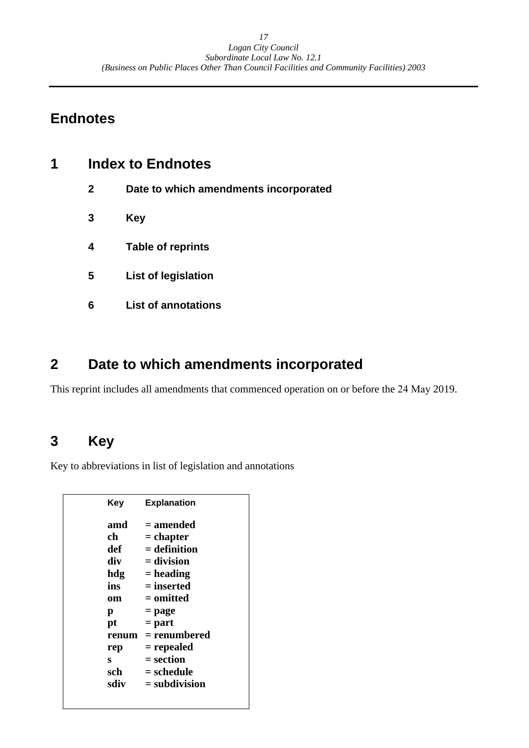# **Endnotes**

| 1 | <b>Index to Endnotes</b> |                                       |
|---|--------------------------|---------------------------------------|
|   | $\mathbf{2}$             | Date to which amendments incorporated |
|   | 3                        | Key                                   |
|   | 4                        | <b>Table of reprints</b>              |
|   | 5                        | List of legislation                   |
|   | 6                        | <b>List of annotations</b>            |
|   |                          |                                       |

# **2 Date to which amendments incorporated**

This reprint includes all amendments that commenced operation on or before the 24 May 2019.

# **3 Key**

Key to abbreviations in list of legislation and annotations

| Kev   | <b>Explanation</b> |
|-------|--------------------|
| amd   | = amended          |
| ch    | = chapter          |
| def   | $=$ definition     |
| div   | = division         |
| hdg   | $=$ heading        |
| ins   | $=$ inserted       |
| om    | $=$ omitted        |
| р     | $=$ page           |
| pt    | $=$ part           |
| renum | $=$ renumbered     |
| rep   | = repealed         |
| S     | = section          |
| sch   | = schedule         |
| sdiv  | $=$ subdivision    |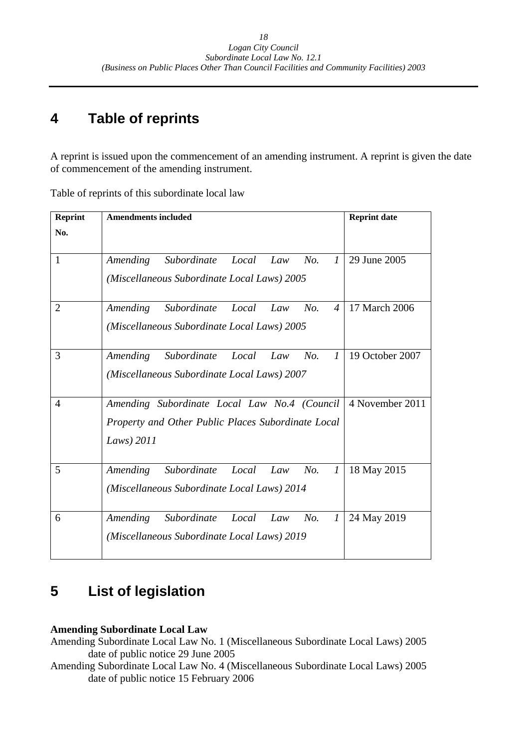#### **4 Table of reprints**

A reprint is issued upon the commencement of an amending instrument. A reprint is given the date of commencement of the amending instrument.

Table of reprints of this subordinate local law

| <b>Reprint</b> | <b>Reprint date</b><br><b>Amendments included</b>                                                                |                 |  |
|----------------|------------------------------------------------------------------------------------------------------------------|-----------------|--|
| No.            |                                                                                                                  |                 |  |
| 1              | No.<br>$\mathcal{I}$<br>Subordinate<br>Local<br>Amending<br>Law<br>(Miscellaneous Subordinate Local Laws) 2005   | 29 June 2005    |  |
| $\overline{2}$ | Subordinate<br>Local<br>No.<br>$\overline{4}$<br>Amending<br>Law<br>(Miscellaneous Subordinate Local Laws) 2005  | 17 March 2006   |  |
| 3              | Amending<br>Subordinate<br>Local<br>Law<br>No.<br>$\mathcal{I}$<br>(Miscellaneous Subordinate Local Laws) 2007   | 19 October 2007 |  |
| 4              | Amending Subordinate Local Law No.4 (Council<br>Property and Other Public Places Subordinate Local<br>Laws) 2011 | 4 November 2011 |  |
| 5              | Subordinate<br>$\mathcal{I}$<br>Amending<br>Local<br>No.<br>Law<br>(Miscellaneous Subordinate Local Laws) 2014   | 18 May 2015     |  |
| 6              | Amending<br>Subordinate<br>Local<br>No.<br>Law<br>$\mathcal{I}$<br>(Miscellaneous Subordinate Local Laws) 2019   | 24 May 2019     |  |

#### **List of legislation 5**

## **Amending Subordinate Local Law**

Amending Subordinate Local Law No. 1 (Miscellaneous Subordinate Local Laws) 2005 date of public notice 29 June 2005

Amending Subordinate Local Law No. 4 (Miscellaneous Subordinate Local Laws) 2005 date of public notice 15 February 2006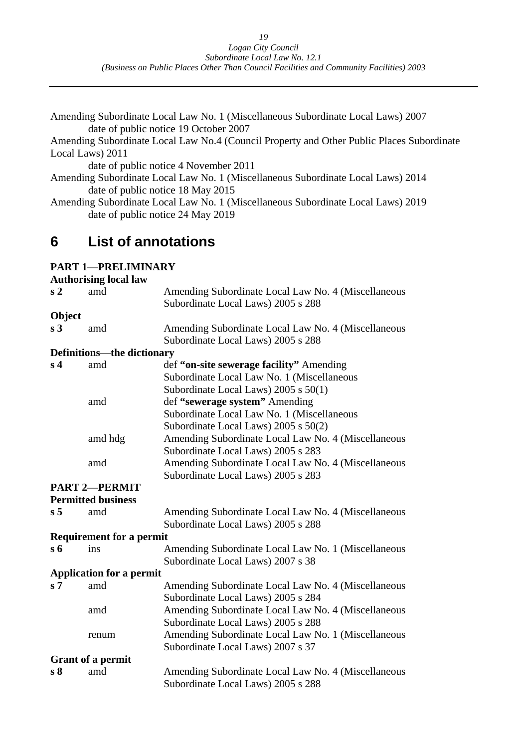<span id="page-19-0"></span>

| Amending Subordinate Local Law No. 1 (Miscellaneous Subordinate Local Laws) 2007          |
|-------------------------------------------------------------------------------------------|
| date of public notice 19 October 2007                                                     |
| Amending Subordinate Local Law No.4 (Council Property and Other Public Places Subordinate |
| Local Laws) 2011                                                                          |
| date of public notice 4 November 2011                                                     |
| Amending Subordinate Local Law No. 1 (Miscellaneous Subordinate Local Laws) 2014          |
| date of public notice 18 May 2015                                                         |
| Amending Subordinate Local Law No. 1 (Miscellaneous Subordinate Local Laws) 2019          |
| date of public notice 24 May 2019                                                         |
|                                                                                           |
|                                                                                           |

#### **6 List of annotations**

## **PART 1**—**PRELIMINARY**

|                | <b>Authorising local law</b>      |                                                                                           |
|----------------|-----------------------------------|-------------------------------------------------------------------------------------------|
| s <sub>2</sub> | amd                               | Amending Subordinate Local Law No. 4 (Miscellaneous<br>Subordinate Local Laws) 2005 s 288 |
| Object         |                                   |                                                                                           |
| s <sub>3</sub> | amd                               | Amending Subordinate Local Law No. 4 (Miscellaneous                                       |
|                |                                   | Subordinate Local Laws) 2005 s 288                                                        |
|                | <b>Definitions—the dictionary</b> |                                                                                           |
| s <sub>4</sub> | amd                               | def "on-site sewerage facility" Amending                                                  |
|                |                                   | Subordinate Local Law No. 1 (Miscellaneous                                                |
|                |                                   | Subordinate Local Laws) 2005 s 50(1)                                                      |
|                | amd                               | def "sewerage system" Amending                                                            |
|                |                                   | Subordinate Local Law No. 1 (Miscellaneous                                                |
|                |                                   | Subordinate Local Laws) 2005 s 50(2)                                                      |
|                | amd hdg                           | Amending Subordinate Local Law No. 4 (Miscellaneous                                       |
|                |                                   | Subordinate Local Laws) 2005 s 283                                                        |
|                | amd                               | Amending Subordinate Local Law No. 4 (Miscellaneous                                       |
|                |                                   | Subordinate Local Laws) 2005 s 283                                                        |
|                | <b>PART 2-PERMIT</b>              |                                                                                           |
|                | <b>Permitted business</b>         |                                                                                           |
| s <sub>5</sub> | amd                               | Amending Subordinate Local Law No. 4 (Miscellaneous                                       |
|                |                                   | Subordinate Local Laws) 2005 s 288                                                        |
|                | <b>Requirement for a permit</b>   |                                                                                           |
| $s\,6$         | ins                               | Amending Subordinate Local Law No. 1 (Miscellaneous                                       |
|                |                                   | Subordinate Local Laws) 2007 s 38                                                         |
|                | <b>Application for a permit</b>   |                                                                                           |
| s <sub>7</sub> | amd                               | Amending Subordinate Local Law No. 4 (Miscellaneous                                       |
|                |                                   | Subordinate Local Laws) 2005 s 284                                                        |
|                | amd                               | Amending Subordinate Local Law No. 4 (Miscellaneous                                       |
|                |                                   | Subordinate Local Laws) 2005 s 288                                                        |
|                | renum                             | Amending Subordinate Local Law No. 1 (Miscellaneous                                       |
|                |                                   | Subordinate Local Laws) 2007 s 37                                                         |
|                | <b>Grant of a permit</b>          |                                                                                           |
| s <sub>8</sub> | amd                               | Amending Subordinate Local Law No. 4 (Miscellaneous                                       |
|                |                                   | Subordinate Local Laws) 2005 s 288                                                        |